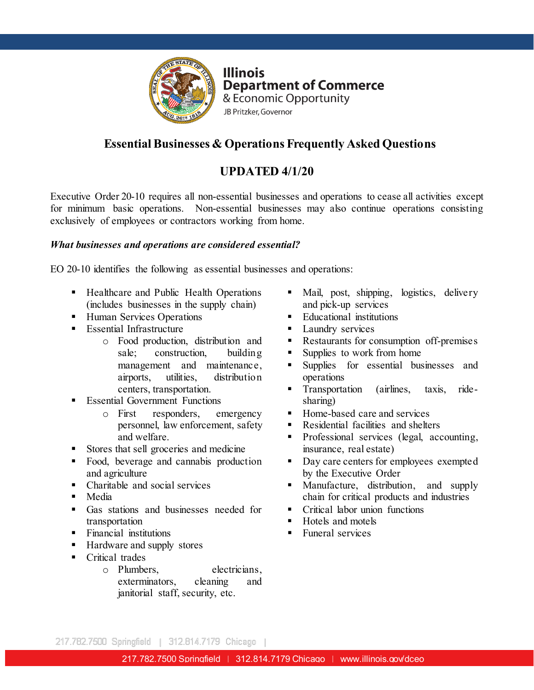

## **Essential Businesses & Operations Frequently Asked Questions**

## **UPDATED 4/1/20**

Executive Order 20-10 requires all non-essential businesses and operations to cease all activities except for minimum basic operations. Non-essential businesses may also continue operations consisting exclusively of employees or contractors working from home.

#### *What businesses and operations are considered essential?*

EO 20-10 identifies the following as essential businesses and operations:

- Healthcare and Public Health Operations (includes businesses in the supply chain)
- **Human Services Operations**
- **Essential Infrastructure** 
	- o Food production, distribution and **Capacita Exercise Exercise Space I** Restaurants for consumption sale; construction, building management and maintenance, airports, utilities, distribution centers, transportation.
- **Essential Government Functions** 
	- o First responders, emergency personnel, law enforcement, safety and welfare.
- Stores that sell groceries and medicine
- Food, beverage and cannabis production and agriculture
- Charitable and social services
- Media
- Gas stations and businesses needed for transportation
- **Financial institutions**
- Hardware and supply stores
- **Critical trades** 
	- o Plumbers, electricians, exterminators, cleaning and exterminators, janitorial staff, security, etc.
- Mail, post, shipping, logistics, delivery and pick-up services
- **Educational institutions**
- **Laundry services**
- Restaurants for consumption off-premises
- Supplies to work from home
- Supplies for essential businesses and operations
- **Transportation** (airlines, taxis, ridesharing)
- Home-based care and services
- Residential facilities and shelters
- Professional services (legal, accounting, insurance, real estate)
- Day care centers for employees exempted by the Executive Order
- Manufacture, distribution, and supply chain for critical products and industries
- **Critical labor union functions**
- Hotels and motels
- Funeral services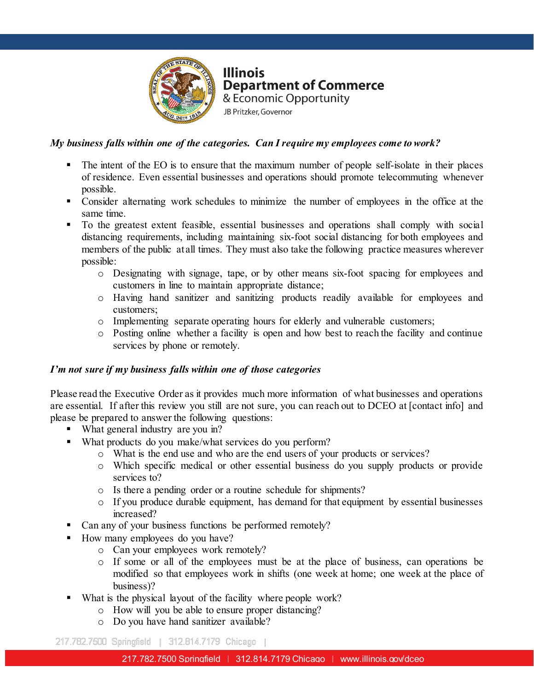

#### *My business falls within one of the categories. Can I require my employees come to work?*

- The intent of the EO is to ensure that the maximum number of people self-isolate in their places of residence. Even essential businesses and operations should promote telecommuting whenever possible.
- Consider alternating work schedules to minimize the number of employees in the office at the same time.
- To the greatest extent feasible, essential businesses and operations shall comply with social distancing requirements, including maintaining six-foot social distancing for both employees and members of the public at all times. They must also take the following practice measures wherever possible:
	- o Designating with signage, tape, or by other means six-foot spacing for employees and customers in line to maintain appropriate distance;
	- o Having hand sanitizer and sanitizing products readily available for employees and customers;
	- o Implementing separate operating hours for elderly and vulnerable customers;
	- services by phone or remotely. o Posting online whether a facility is open and how best to reach the facility and continue

#### *I'm not sure if my business falls within one of those categories*

Please read the Executive Order as it provides much more information of what businesses and operations are essential. If after this review you still are not sure, you can reach out to DCEO at [contact info] and please be prepared to answer the following questions:

- What general industry are you in?
- What products do you make/what services do you perform?
	- o What is the end use and who are the end users of your products or services?
	- o Which specific medical or other essential business do you supply products or provide services to?
	- o Is there a pending order or a routine schedule for shipments?
	- o If you produce durable equipment, has demand for that equipment by essential businesses increased?
- Can any of your business functions be performed remotely?
- How many employees do you have?
	- o Can your employees work remotely?
	- o If some or all of the employees must be at the place of business, can operations be modified so that employees work in shifts (one week at home; one week at the place of business)?
- What is the physical layout of the facility where people work?
	- o How will you be able to ensure proper distancing?
	- o Do you have hand sanitizer available?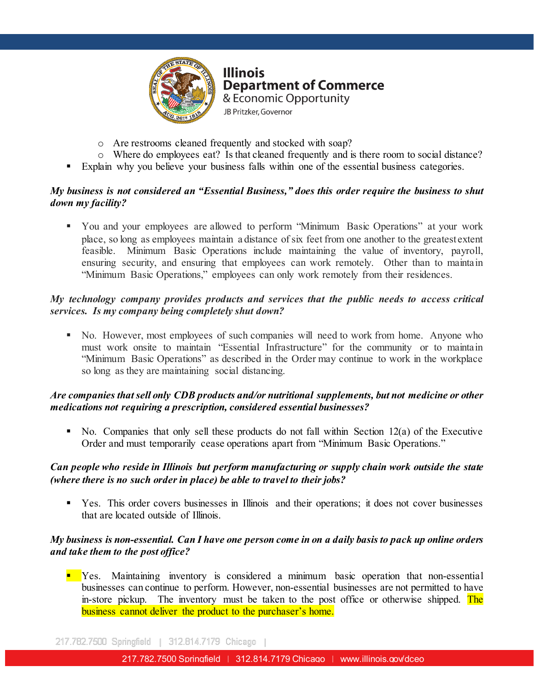

- o Are restrooms cleaned frequently and stocked with soap?
- o Where do employees eat? Is that cleaned frequently and is there room to social distance?
- Explain why you believe your business falls within one of the essential business categories.

#### *My business is not considered an "Essential Business," does this order require the business to shut down my facility?*

 You and your employees are allowed to perform "Minimum Basic Operations" at your work place, so long as employees maintain a distance of six feet from one another to the greatest extent feasible. Minimum Basic Operations include maintaining the value of inventory, payroll, ensuring security, and ensuring that employees can work remotely. Other than to maintain "Minimum Basic Operations," employees can only work remotely from their residences.

#### *My technology company provides products and services that the public needs to access critical services. Is my company being completely shut down?*

must work onsite to maintain "Essential Infrastructure" for the community or to maintain must work onsite to maintain "Essential Infrastructure" for the community or to maintain No. However, most employees of such companies will need to work from home. Anyone who "Minimum Basic Operations" as described in the Order may continue to work in the workplace so long as they are maintaining social distancing.

#### *Are companies that sell only CDB products and/or nutritional supplements, but not medicine or other medications not requiring a prescription, considered essential businesses?*

 $\blacksquare$  No. Companies that only sell these products do not fall within Section 12(a) of the Executive Order and must temporarily cease operations apart from "Minimum Basic Operations."

#### *Can people who reside in Illinois but perform manufacturing or supply chain work outside the state (where there is no such order in place) be able to travel to their jobs?*

 Yes. This order covers businesses in Illinois and their operations; it does not cover businesses that are located outside of Illinois.

#### *My business is non-essential. Can I have one person come in on a daily basis to pack up online orders and take them to the post office?*

**EXECO** Yes. Maintaining inventory is considered a minimum basic operation that non-essential businesses can continue to perform. However, non-essential businesses are not permitted to have in-store pickup. The inventory must be taken to the post office or otherwise shipped. The business cannot deliver the product to the purchaser's home.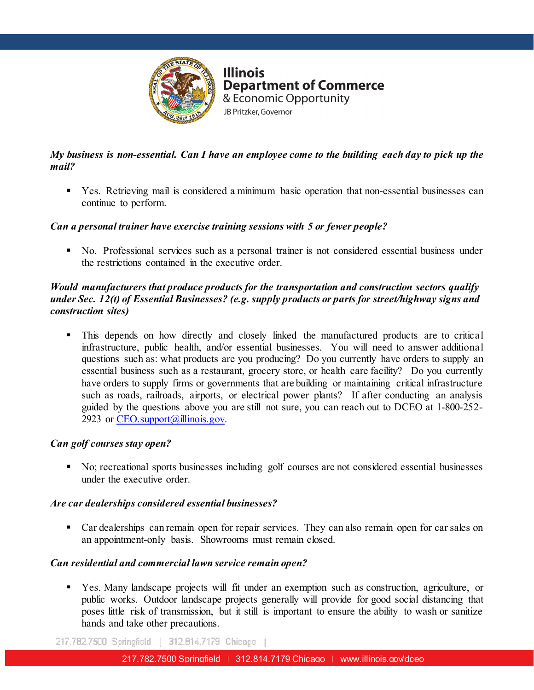

### *My business is non-essential. Can I have an employee come to the building each day to pick up the mail?*

 Yes. Retrieving mail is considered a minimum basic operation that non-essential businesses can continue to perform.

#### *Can a personal trainer have exercise training sessions with 5 or fewer people?*

 No. Professional services such as a personal trainer is not considered essential business under the restrictions contained in the executive order.

#### *Would manufacturers that produce products for the transportation and construction sectors qualify under Sec. 12(t) of Essential Businesses? (e.g. supply products or parts for street/highway signs and construction sites)*

infrastructure, public health, and/or essential businesses. You will need to answer additional This depends on how directly and closely linked the manufactured products are to critical questions such as: what products are you producing? Do you currently have orders to supply an essential business such as a restaurant, grocery store, or health care facility? Do you currently have orders to supply firms or governments that are building or maintaining critical infrastructure such as roads, railroads, airports, or electrical power plants? If after conducting an analysis guided by the questions above you are still not sure, you can reach out to DCEO at 1-800-252- 2923 or  $CEO$ . support $(a)$ illinois.gov.

#### *Can golf courses stay open?*

 No; recreational sports businesses including golf courses are not considered essential businesses under the executive order.

#### *Are car dealerships considered essential businesses?*

 Car dealerships can remain open for repair services. They can also remain open for car sales on an appointment-only basis. Showrooms must remain closed.

### *Can residential and commercial lawn service remain open?*

 Yes. Many landscape projects will fit under an exemption such as construction, agriculture, or public works. Outdoor landscape projects generally will provide for good social distancing that poses little risk of transmission, but it still is important to ensure the ability to wash or sanitize hands and take other precautions.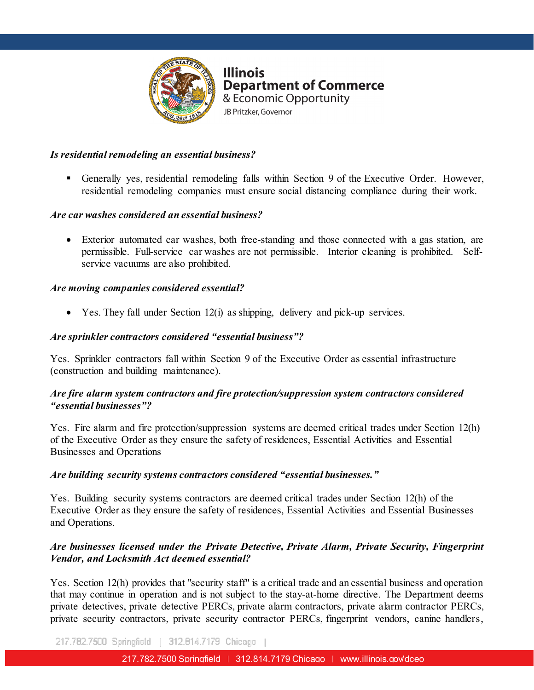

#### *Is residential remodeling an essential business?*

 Generally yes, residential remodeling falls within Section 9 of the Executive Order. However, residential remodeling companies must ensure social distancing compliance during their work.

#### *Are car washes considered an essential business?*

• Exterior automated car washes, both free-standing and those connected with a gas station, are permissible. Full-service car washes are not permissible. Interior cleaning is prohibited. Selfservice vacuums are also prohibited.

#### *Are moving companies considered essential?*

• Yes. They fall under Section  $12(i)$  as shipping, delivery and pick-up services.

## Are sprinkler contractors considered **"essential business"?**

Yes. Sprinkler contractors fall within Section 9 of the Executive Order as essential infrastructure (construction and building maintenance).

#### *Are fire alarm system contractors and fire protection/suppression system contractors considered "essential businesses"?*

Yes. Fire alarm and fire protection/suppression systems are deemed critical trades under Section 12(h) of the Executive Order as they ensure the safety of residences, Essential Activities and Essential Businesses and Operations

#### *Are building security systems contractors considered "essential businesses."*

Yes. Building security systems contractors are deemed critical trades under Section 12(h) of the Executive Order as they ensure the safety of residences, Essential Activities and Essential Businesses and Operations.

#### *Are businesses licensed under the Private Detective, Private Alarm, Private Security, Fingerprint Vendor, and Locksmith Act deemed essential?*

Yes. Section 12(h) provides that "security staff" is a critical trade and an essential business and operation that may continue in operation and is not subject to the stay-at-home directive. The Department deems private detectives, private detective PERCs, private alarm contractors, private alarm contractor PERCs, private security contractors, private security contractor PERCs, fingerprint vendors, canine handlers,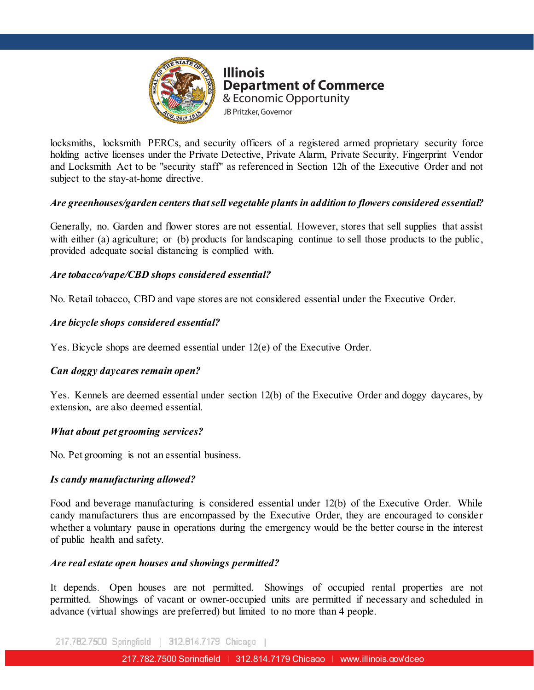

locksmiths, locksmith PERCs, and security officers of a registered armed proprietary security force holding active licenses under the Private Detective, Private Alarm, Private Security, Fingerprint Vendor and Locksmith Act to be "security staff" as referenced in Section 12h of the Executive Order and not subject to the stay-at-home directive.

#### *Are greenhouses/garden centers that sell vegetable plants in addition to flowers considered essential?*

Generally, no. Garden and flower stores are not essential. However, stores that sell supplies that assist with either (a) agriculture; or (b) products for landscaping continue to sell those products to the public, provided adequate social distancing is complied with.

#### *Are tobacco/vape/CBD shops considered essential?*

No. Retail tobacco, CBD and vape stores are not considered essential under the Executive Order.

#### *Are bicycle shops considered essential?*

Yes. Bicycle shops are deemed essential under 12(e) of the Executive Order.

#### *Can doggy daycares remain open?*

Yes. Kennels are deemed essential under section 12(b) of the Executive Order and doggy daycares, by extension, are also deemed essential.

#### *What about pet grooming services?*

No. Pet grooming is not an essential business.

#### *Is candy manufacturing allowed?*

Food and beverage manufacturing is considered essential under 12(b) of the Executive Order. While candy manufacturers thus are encompassed by the Executive Order, they are encouraged to consider whether a voluntary pause in operations during the emergency would be the better course in the interest of public health and safety.

#### *Are real estate open houses and showings permitted?*

It depends. Open houses are not permitted. Showings of occupied rental properties are not permitted. Showings of vacant or owner-occupied units are permitted if necessary and scheduled in advance (virtual showings are preferred) but limited to no more than 4 people.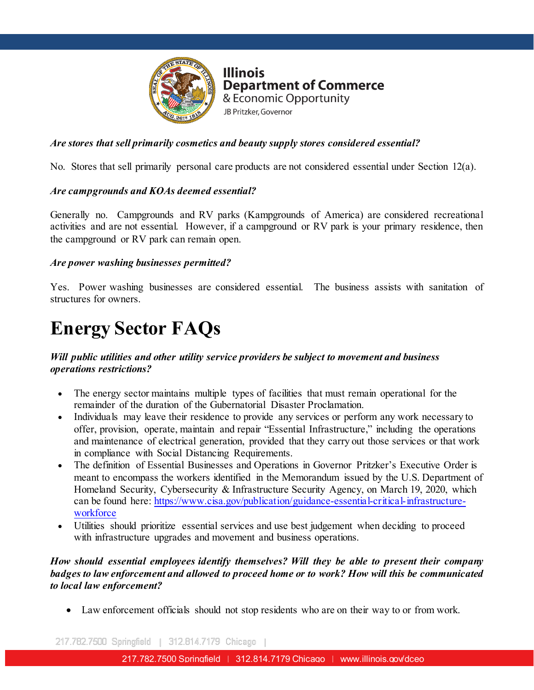

#### *Are stores that sell primarily cosmetics and beauty supply stores considered essential?*

No. Stores that sell primarily personal care products are not considered essential under Section 12(a).

#### *Are campgrounds and KOAs deemed essential?*

Generally no. Campgrounds and RV parks (Kampgrounds of America) are considered recreational activities and are not essential. However, if a campground or RV park is your primary residence, then the campground or RV park can remain open.

#### *Are power washing businesses permitted?*

Yes. Power washing businesses are considered essential. The business assists with sanitation of structures for owners.

# **Energy Sector FAQs**

#### *Will public utilities and other utility service providers be subject to movement and business operations restrictions?*

- The energy sector maintains multiple types of facilities that must remain operational for the remainder of the duration of the Gubernatorial Disaster Proclamation.
- Individuals may leave their residence to provide any services or perform any work necessary to offer, provision, operate, maintain and repair "Essential Infrastructure," including the operations and maintenance of electrical generation, provided that they carry out those services or that work in compliance with Social Distancing Requirements.
- The definition of Essential Businesses and Operations in Governor Pritzker's Executive Order is meant to encompass the workers identified in the Memorandum issued by the U.S. Department of Homeland Security, Cybersecurity & Infrastructure Security Agency, on March 19, 2020, which can be found here: [https://www.cisa.gov/publication/guidance-essential-critical-infrastructure](https://www.cisa.gov/publication/guidance-essential-critical-infrastructure-workforce)[workforce](https://www.cisa.gov/publication/guidance-essential-critical-infrastructure-workforce)
- Utilities should prioritize essential services and use best judgement when deciding to proceed with infrastructure upgrades and movement and business operations.

#### *How should essential employees identify themselves? Will they be able to present their company badges to law enforcement and allowed to proceed home or to work? How will this be communicated to local law enforcement?*

• Law enforcement officials should not stop residents who are on their way to or from work.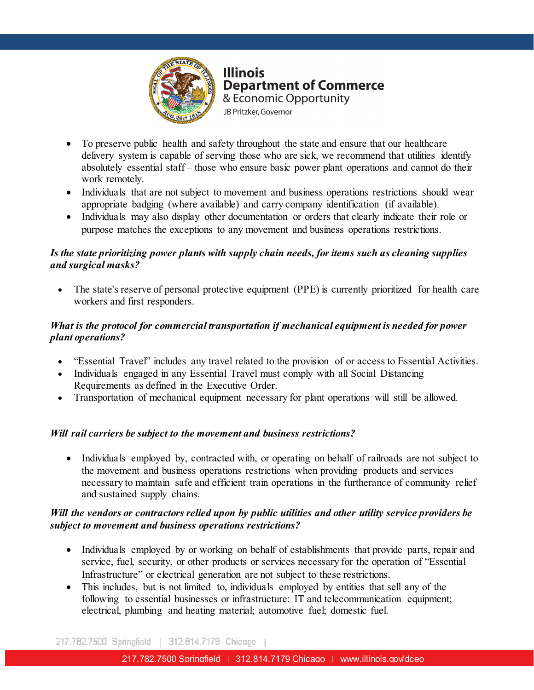

- To preserve public health and safety throughout the state and ensure that our healthcare delivery system is capable of serving those who are sick, we recommend that utilities identify absolutely essential staff – those who ensure basic power plant operations and cannot do their work remotely.
- Individuals that are not subject to movement and business operations restrictions should wear appropriate badging (where available) and carry company identification (if available).
- Individuals may also display other documentation or orders that clearly indicate their role or purpose matches the exceptions to any movement and business operations restrictions.

#### *Is the state prioritizing power plants with supply chain needs, for items such as cleaning supplies and surgical masks?*

The state's reserve of personal protective equipment (PPE) is currently prioritized for health care workers and first responders.

#### $217.782$ *What is the protocol for commercial transportation if mechanical equipment is needed for power plant operations?*

- "Essential Travel" includes any travel related to the provision of or access to Essential Activities.
- Individuals engaged in any Essential Travel must comply with all Social Distancing Requirements as defined in the Executive Order.
- Transportation of mechanical equipment necessary for plant operations will still be allowed.

#### *Will rail carriers be subject to the movement and business restrictions?*

• Individuals employed by, contracted with, or operating on behalf of railroads are not subject to the movement and business operations restrictions when providing products and services necessary to maintain safe and efficient train operations in the furtherance of community relief and sustained supply chains.

#### *Will the vendors or contractors relied upon by public utilities and other utility service providers be subject to movement and business operations restrictions?*

- Individuals employed by or working on behalf of establishments that provide parts, repair and service, fuel, security, or other products or services necessary for the operation of "Essential Infrastructure" or electrical generation are not subject to these restrictions.
- This includes, but is not limited to, individuals employed by entities that sell any of the following to essential businesses or infrastructure: IT and telecommunication equipment; electrical, plumbing and heating material; automotive fuel; domestic fuel.